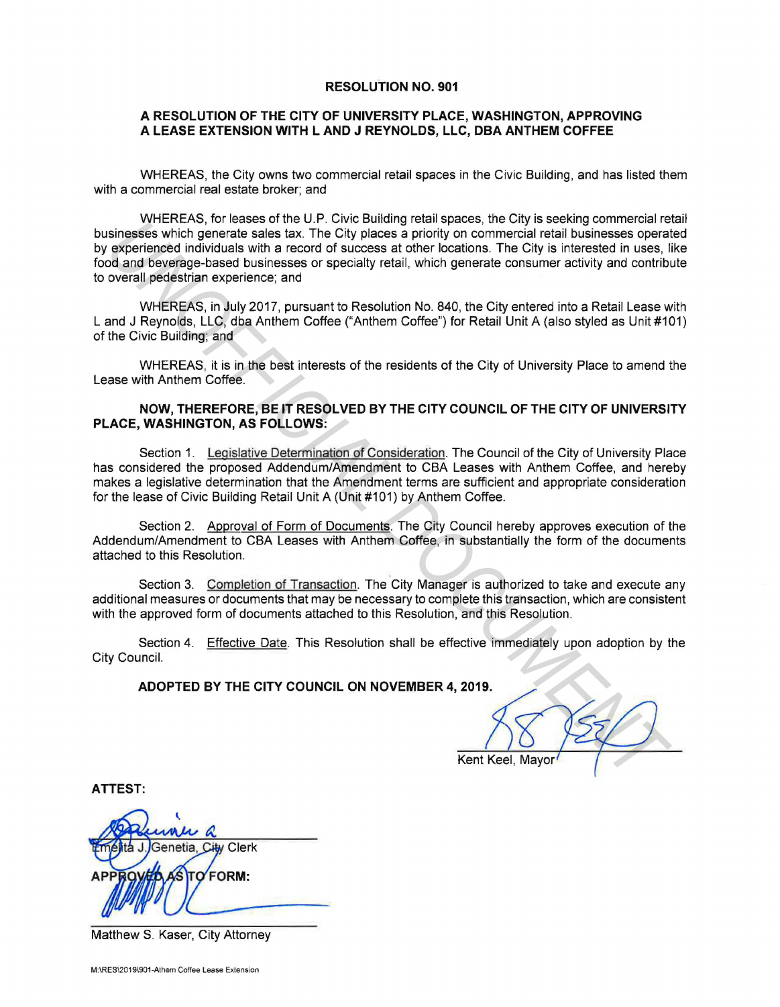#### **RESOLUTION NO. 901**

## **A RESOLUTION OF THE CITY OF UNIVERSITY PLACE, WASHINGTON, APPROVING A LEASE EXTENSION WITH L AND J REYNOLDS, LLC, DBA ANTHEM COFFEE**

WHEREAS, the City owns two commercial retail spaces in the Civic Building, and has listed them with a commercial real estate broker; and

WHEREAS, for leases of the U.P. Civic Building retail spaces, the City is seeking commercial retail businesses which generate sales tax. The City places a priority on commercial retail businesses operated by experienced individuals with a record of success at other locations. The City is interested in uses, like food and beverage-based businesses or specialty retail, which generate consumer activity and contribute to overall pedestrian experience; and **Example 12**<br> **Example 12**<br> **Example 12**<br> **Example 12**<br> **Example 12**<br> **Example 12**<br> **Example 12**<br> **Example 12**<br> **Example 12**<br> **Example 12**<br> **OCUMENTAL DOCUMENT CONSET AND CONDICT CONDICT ONE OF SURFACE AND THE CHUST DETEND** 

WHEREAS, in July 2017, pursuant to Resolution No. 840, the City entered into a Retail Lease with L and J Reynolds, LLC, dba Anthem Coffee ("Anthem Coffee") for Retail Unit A (also styled as Unit #101) of the Civic Building; and

WHEREAS, it is in the best interests of the residents of the City of University Place to amend the Lease with Anthem Coffee.

## **NOW, THEREFORE, BE IT RESOLVED BY THE CITY COUNCIL OF THE CITY OF UNIVERSITY PLACE, WASHINGTON, AS FOLLOWS:**

Section 1. Legislative Determination of Consideration. The Council of the City of University Place has considered the proposed Addendum/Amendment to CBA Leases with Anthem Coffee, and hereby makes a legislative determination that the Amendment terms are sufficient and appropriate consideration for the lease of Civic Building Retail Unit A (Unit #101) by Anthem Coffee.

Section 2. Approval of Form of Documents. The City Council hereby approves execution of the Addendum/Amendment to CBA Leases with Anthem Coffee, in substantially the form of the documents attached to this Resolution.

Section 3. Completion of Transaction. The City Manager is authorized to take and execute any additional measures or documents that may be necessary to complete this transaction, which are consistent with the approved form of documents attached to this Resolution, and this Resolution.

Section 4. Effective Date. This Resolution shall be effective immediately upon adoption by the City Council.

## **ADOPTED BY THE CITY COUNCIL ON NOVEMBER 4, 2019.**

*----'-----+------,f-----* K en t Keel, Mayor

**ATTEST:** 

Genetia. City Clerk OFORM:

Matthew S. Kaser, City Attorney